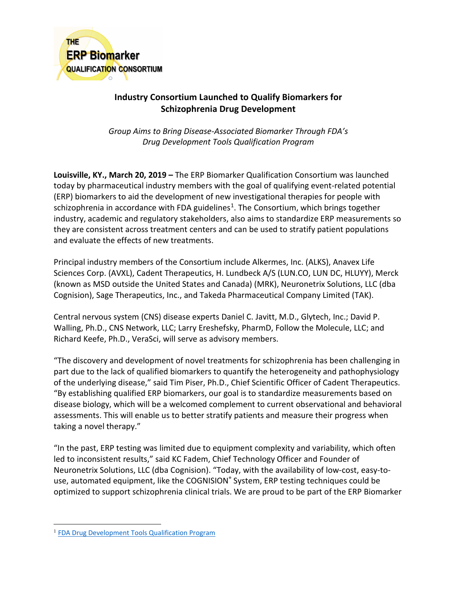

## **Industry Consortium Launched to Qualify Biomarkers for Schizophrenia Drug Development**

*Group Aims to Bring Disease-Associated Biomarker Through FDA's Drug Development Tools Qualification Program*

**Louisville, KY., March 20, 2019 –** The ERP Biomarker Qualification Consortium was launched today by pharmaceutical industry members with the goal of qualifying event-related potential (ERP) biomarkers to aid the development of new investigational therapies for people with schizophrenia in accordance with FDA guidelines<sup>[1](#page-0-0)</sup>. The Consortium, which brings together industry, academic and regulatory stakeholders, also aims to standardize ERP measurements so they are consistent across treatment centers and can be used to stratify patient populations and evaluate the effects of new treatments.

Principal industry members of the Consortium include Alkermes, Inc. (ALKS), Anavex Life Sciences Corp. (AVXL), Cadent Therapeutics, H. Lundbeck A/S (LUN.CO, LUN DC, HLUYY), Merck (known as MSD outside the United States and Canada) (MRK), Neuronetrix Solutions, LLC (dba Cognision), Sage Therapeutics, Inc., and Takeda Pharmaceutical Company Limited (TAK).

Central nervous system (CNS) disease experts Daniel C. Javitt, M.D., Glytech, Inc.; David P. Walling, Ph.D., CNS Network, LLC; Larry Ereshefsky, PharmD, Follow the Molecule, LLC; and Richard Keefe, Ph.D., VeraSci, will serve as advisory members.

"The discovery and development of novel treatments for schizophrenia has been challenging in part due to the lack of qualified biomarkers to quantify the heterogeneity and pathophysiology of the underlying disease," said Tim Piser, Ph.D., Chief Scientific Officer of Cadent Therapeutics. "By establishing qualified ERP biomarkers, our goal is to standardize measurements based on disease biology, which will be a welcomed complement to current observational and behavioral assessments. This will enable us to better stratify patients and measure their progress when taking a novel therapy."

"In the past, ERP testing was limited due to equipment complexity and variability, which often led to inconsistent results," said KC Fadem, Chief Technology Officer and Founder of Neuronetrix Solutions, LLC (dba Cognision). "Today, with the availability of low-cost, easy-touse, automated equipment, like the COGNISION® System, ERP testing techniques could be optimized to support schizophrenia clinical trials. We are proud to be part of the ERP Biomarker

<span id="page-0-0"></span><sup>&</sup>lt;sup>1</sup> [FDA Drug Development Tools Qualification Program](https://www.fda.gov/drugs/developmentapprovalprocess/drugdevelopmenttoolsqualificationprogram/)